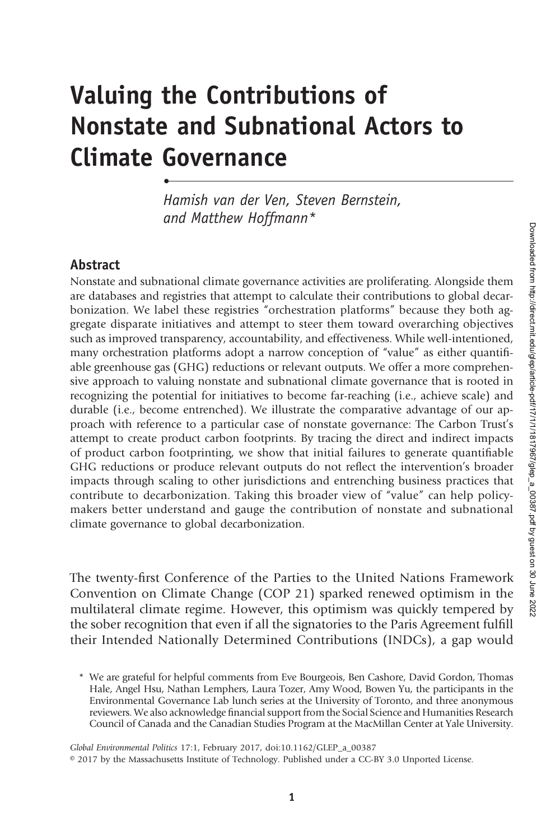# Valuing the Contributions of Nonstate and Subnational Actors to Climate Governance

Hamish van der Ven, Steven Bernstein, and Matthew Hoffmann\*

#### **Abstract**

•

Nonstate and subnational climate governance activities are proliferating. Alongside them are databases and registries that attempt to calculate their contributions to global decarbonization. We label these registries "orchestration platforms" because they both aggregate disparate initiatives and attempt to steer them toward overarching objectives such as improved transparency, accountability, and effectiveness. While well-intentioned, many orchestration platforms adopt a narrow conception of "value" as either quantifiable greenhouse gas (GHG) reductions or relevant outputs. We offer a more comprehensive approach to valuing nonstate and subnational climate governance that is rooted in recognizing the potential for initiatives to become far-reaching (i.e., achieve scale) and durable (i.e., become entrenched). We illustrate the comparative advantage of our approach with reference to a particular case of nonstate governance: The Carbon Trust's attempt to create product carbon footprints. By tracing the direct and indirect impacts of product carbon footprinting, we show that initial failures to generate quantifiable GHG reductions or produce relevant outputs do not reflect the intervention's broader impacts through scaling to other jurisdictions and entrenching business practices that contribute to decarbonization. Taking this broader view of "value" can help policymakers better understand and gauge the contribution of nonstate and subnational climate governance to global decarbonization.

The twenty-first Conference of the Parties to the United Nations Framework Convention on Climate Change (COP 21) sparked renewed optimism in the multilateral climate regime. However, this optimism was quickly tempered by the sober recognition that even if all the signatories to the Paris Agreement fulfill their Intended Nationally Determined Contributions (INDCs), a gap would

Global Environmental Politics 17:1, February 2017, doi:10.1162/GLEP\_a\_00387

<sup>\*</sup> We are grateful for helpful comments from Eve Bourgeois, Ben Cashore, David Gordon, Thomas Hale, Angel Hsu, Nathan Lemphers, Laura Tozer, Amy Wood, Bowen Yu, the participants in the Environmental Governance Lab lunch series at the University of Toronto, and three anonymous reviewers. We also acknowledge financial support from the Social Science and Humanities Research Council of Canada and the Canadian Studies Program at the MacMillan Center at Yale University.

<sup>© 2017</sup> by the Massachusetts Institute of Technology. Published under a CC-BY 3.0 Unported License.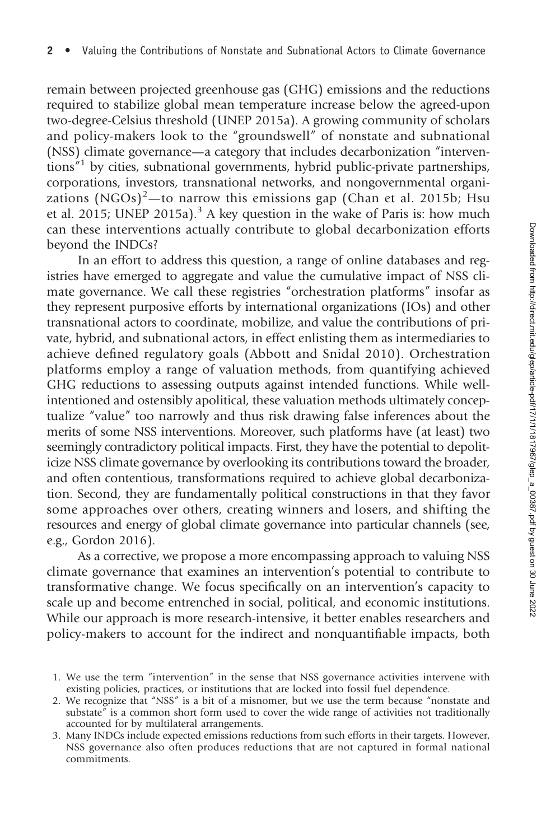remain between projected greenhouse gas (GHG) emissions and the reductions required to stabilize global mean temperature increase below the agreed-upon two-degree-Celsius threshold (UNEP 2015a). A growing community of scholars and policy-makers look to the "groundswell" of nonstate and subnational (NSS) climate governance—a category that includes decarbonization "interventions" <sup>1</sup> by cities, subnational governments, hybrid public-private partnerships, corporations, investors, transnational networks, and nongovernmental organizations  $(NGOs)^{2}$ —to narrow this emissions gap (Chan et al. 2015b; Hsu et al. 2015; UNEP 2015a).<sup>3</sup> A key question in the wake of Paris is: how much can these interventions actually contribute to global decarbonization efforts beyond the INDCs?

In an effort to address this question, a range of online databases and registries have emerged to aggregate and value the cumulative impact of NSS climate governance. We call these registries "orchestration platforms" insofar as they represent purposive efforts by international organizations (IOs) and other transnational actors to coordinate, mobilize, and value the contributions of private, hybrid, and subnational actors, in effect enlisting them as intermediaries to achieve defined regulatory goals (Abbott and Snidal 2010). Orchestration platforms employ a range of valuation methods, from quantifying achieved GHG reductions to assessing outputs against intended functions. While wellintentioned and ostensibly apolitical, these valuation methods ultimately conceptualize "value" too narrowly and thus risk drawing false inferences about the merits of some NSS interventions. Moreover, such platforms have (at least) two seemingly contradictory political impacts. First, they have the potential to depoliticize NSS climate governance by overlooking its contributions toward the broader, and often contentious, transformations required to achieve global decarbonization. Second, they are fundamentally political constructions in that they favor some approaches over others, creating winners and losers, and shifting the resources and energy of global climate governance into particular channels (see, e.g., Gordon 2016).

As a corrective, we propose a more encompassing approach to valuing NSS climate governance that examines an intervention's potential to contribute to transformative change. We focus specifically on an intervention's capacity to scale up and become entrenched in social, political, and economic institutions. While our approach is more research-intensive, it better enables researchers and policy-makers to account for the indirect and nonquantifiable impacts, both

<sup>1.</sup> We use the term "intervention" in the sense that NSS governance activities intervene with existing policies, practices, or institutions that are locked into fossil fuel dependence.

<sup>2.</sup> We recognize that "NSS" is a bit of a misnomer, but we use the term because "nonstate and substate" is a common short form used to cover the wide range of activities not traditionally accounted for by multilateral arrangements.

<sup>3.</sup> Many INDCs include expected emissions reductions from such efforts in their targets. However, NSS governance also often produces reductions that are not captured in formal national commitments.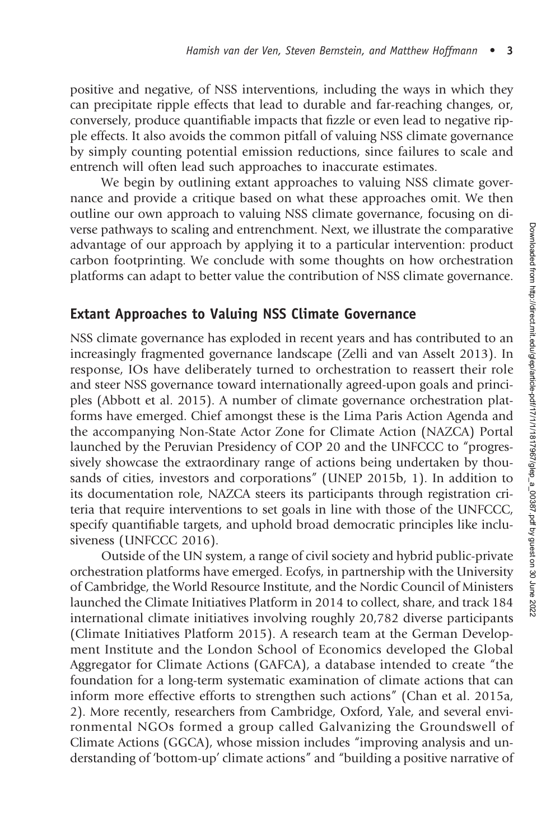positive and negative, of NSS interventions, including the ways in which they can precipitate ripple effects that lead to durable and far-reaching changes, or, conversely, produce quantifiable impacts that fizzle or even lead to negative ripple effects. It also avoids the common pitfall of valuing NSS climate governance by simply counting potential emission reductions, since failures to scale and entrench will often lead such approaches to inaccurate estimates.

We begin by outlining extant approaches to valuing NSS climate governance and provide a critique based on what these approaches omit. We then outline our own approach to valuing NSS climate governance, focusing on diverse pathways to scaling and entrenchment. Next, we illustrate the comparative advantage of our approach by applying it to a particular intervention: product carbon footprinting. We conclude with some thoughts on how orchestration platforms can adapt to better value the contribution of NSS climate governance.

## Extant Approaches to Valuing NSS Climate Governance

NSS climate governance has exploded in recent years and has contributed to an increasingly fragmented governance landscape (Zelli and van Asselt 2013). In response, IOs have deliberately turned to orchestration to reassert their role and steer NSS governance toward internationally agreed-upon goals and principles (Abbott et al. 2015). A number of climate governance orchestration platforms have emerged. Chief amongst these is the Lima Paris Action Agenda and the accompanying Non-State Actor Zone for Climate Action (NAZCA) Portal launched by the Peruvian Presidency of COP 20 and the UNFCCC to "progressively showcase the extraordinary range of actions being undertaken by thousands of cities, investors and corporations" (UNEP 2015b, 1). In addition to its documentation role, NAZCA steers its participants through registration criteria that require interventions to set goals in line with those of the UNFCCC, specify quantifiable targets, and uphold broad democratic principles like inclusiveness (UNFCCC 2016).

Outside of the UN system, a range of civil society and hybrid public-private orchestration platforms have emerged. Ecofys, in partnership with the University of Cambridge, the World Resource Institute, and the Nordic Council of Ministers launched the Climate Initiatives Platform in 2014 to collect, share, and track 184 international climate initiatives involving roughly 20,782 diverse participants (Climate Initiatives Platform 2015). A research team at the German Development Institute and the London School of Economics developed the Global Aggregator for Climate Actions (GAFCA), a database intended to create "the foundation for a long-term systematic examination of climate actions that can inform more effective efforts to strengthen such actions" (Chan et al. 2015a, 2). More recently, researchers from Cambridge, Oxford, Yale, and several environmental NGOs formed a group called Galvanizing the Groundswell of Climate Actions (GGCA), whose mission includes "improving analysis and understanding of 'bottom-up' climate actions" and "building a positive narrative of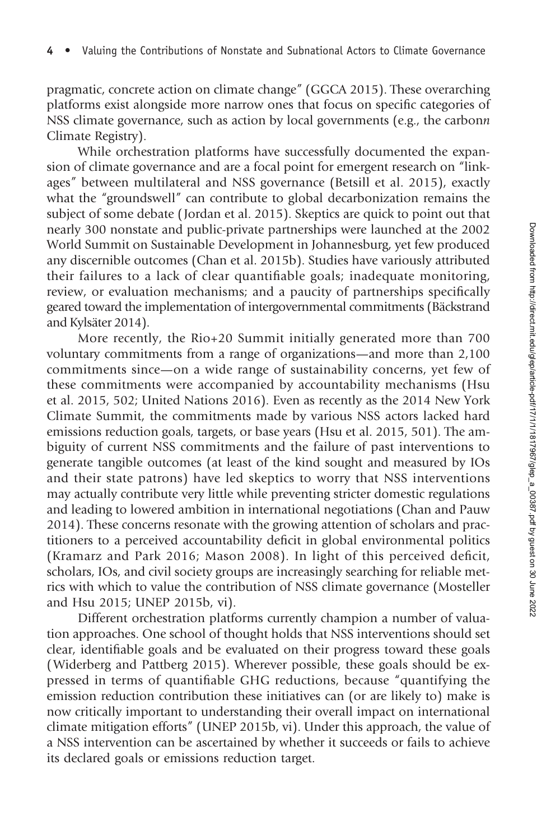pragmatic, concrete action on climate change" (GGCA 2015). These overarching platforms exist alongside more narrow ones that focus on specific categories of NSS climate governance, such as action by local governments (e.g., the carbonn Climate Registry).

While orchestration platforms have successfully documented the expansion of climate governance and are a focal point for emergent research on "linkages" between multilateral and NSS governance (Betsill et al. 2015), exactly what the "groundswell" can contribute to global decarbonization remains the subject of some debate ( Jordan et al. 2015). Skeptics are quick to point out that nearly 300 nonstate and public-private partnerships were launched at the 2002 World Summit on Sustainable Development in Johannesburg, yet few produced any discernible outcomes (Chan et al. 2015b). Studies have variously attributed their failures to a lack of clear quantifiable goals; inadequate monitoring, review, or evaluation mechanisms; and a paucity of partnerships specifically geared toward the implementation of intergovernmental commitments (Bäckstrand and Kylsäter 2014).

More recently, the Rio+20 Summit initially generated more than 700 voluntary commitments from a range of organizations—and more than 2,100 commitments since—on a wide range of sustainability concerns, yet few of these commitments were accompanied by accountability mechanisms (Hsu et al. 2015, 502; United Nations 2016). Even as recently as the 2014 New York Climate Summit, the commitments made by various NSS actors lacked hard emissions reduction goals, targets, or base years (Hsu et al. 2015, 501). The ambiguity of current NSS commitments and the failure of past interventions to generate tangible outcomes (at least of the kind sought and measured by IOs and their state patrons) have led skeptics to worry that NSS interventions may actually contribute very little while preventing stricter domestic regulations and leading to lowered ambition in international negotiations (Chan and Pauw 2014). These concerns resonate with the growing attention of scholars and practitioners to a perceived accountability deficit in global environmental politics (Kramarz and Park 2016; Mason 2008). In light of this perceived deficit, scholars, IOs, and civil society groups are increasingly searching for reliable metrics with which to value the contribution of NSS climate governance (Mosteller and Hsu 2015; UNEP 2015b, vi).

Different orchestration platforms currently champion a number of valuation approaches. One school of thought holds that NSS interventions should set clear, identifiable goals and be evaluated on their progress toward these goals (Widerberg and Pattberg 2015). Wherever possible, these goals should be expressed in terms of quantifiable GHG reductions, because "quantifying the emission reduction contribution these initiatives can (or are likely to) make is now critically important to understanding their overall impact on international climate mitigation efforts" (UNEP 2015b, vi). Under this approach, the value of a NSS intervention can be ascertained by whether it succeeds or fails to achieve its declared goals or emissions reduction target.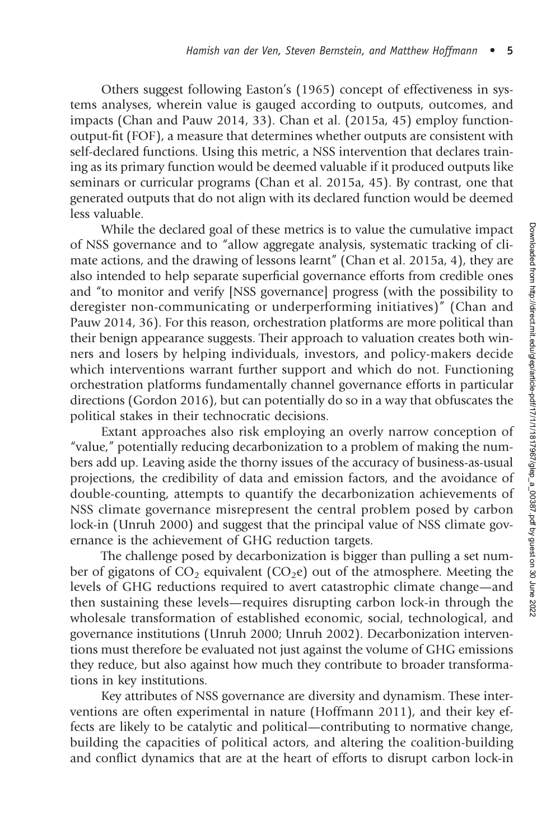Others suggest following Easton's (1965) concept of effectiveness in systems analyses, wherein value is gauged according to outputs, outcomes, and impacts (Chan and Pauw 2014, 33). Chan et al. (2015a, 45) employ functionoutput-fit (FOF), a measure that determines whether outputs are consistent with self-declared functions. Using this metric, a NSS intervention that declares training as its primary function would be deemed valuable if it produced outputs like seminars or curricular programs (Chan et al. 2015a, 45). By contrast, one that generated outputs that do not align with its declared function would be deemed less valuable.

While the declared goal of these metrics is to value the cumulative impact of NSS governance and to "allow aggregate analysis, systematic tracking of climate actions, and the drawing of lessons learnt" (Chan et al. 2015a, 4), they are also intended to help separate superficial governance efforts from credible ones and "to monitor and verify [NSS governance] progress (with the possibility to deregister non-communicating or underperforming initiatives)" (Chan and Pauw 2014, 36). For this reason, orchestration platforms are more political than their benign appearance suggests. Their approach to valuation creates both winners and losers by helping individuals, investors, and policy-makers decide which interventions warrant further support and which do not. Functioning orchestration platforms fundamentally channel governance efforts in particular directions (Gordon 2016), but can potentially do so in a way that obfuscates the political stakes in their technocratic decisions.

Extant approaches also risk employing an overly narrow conception of "value," potentially reducing decarbonization to a problem of making the numbers add up. Leaving aside the thorny issues of the accuracy of business-as-usual projections, the credibility of data and emission factors, and the avoidance of double-counting, attempts to quantify the decarbonization achievements of NSS climate governance misrepresent the central problem posed by carbon lock-in (Unruh 2000) and suggest that the principal value of NSS climate governance is the achievement of GHG reduction targets.

The challenge posed by decarbonization is bigger than pulling a set number of gigatons of  $CO<sub>2</sub>$  equivalent ( $CO<sub>2</sub>e$ ) out of the atmosphere. Meeting the levels of GHG reductions required to avert catastrophic climate change—and then sustaining these levels—requires disrupting carbon lock-in through the wholesale transformation of established economic, social, technological, and governance institutions (Unruh 2000; Unruh 2002). Decarbonization interventions must therefore be evaluated not just against the volume of GHG emissions they reduce, but also against how much they contribute to broader transformations in key institutions.

Key attributes of NSS governance are diversity and dynamism. These interventions are often experimental in nature (Hoffmann 2011), and their key effects are likely to be catalytic and political—contributing to normative change, building the capacities of political actors, and altering the coalition-building and conflict dynamics that are at the heart of efforts to disrupt carbon lock-in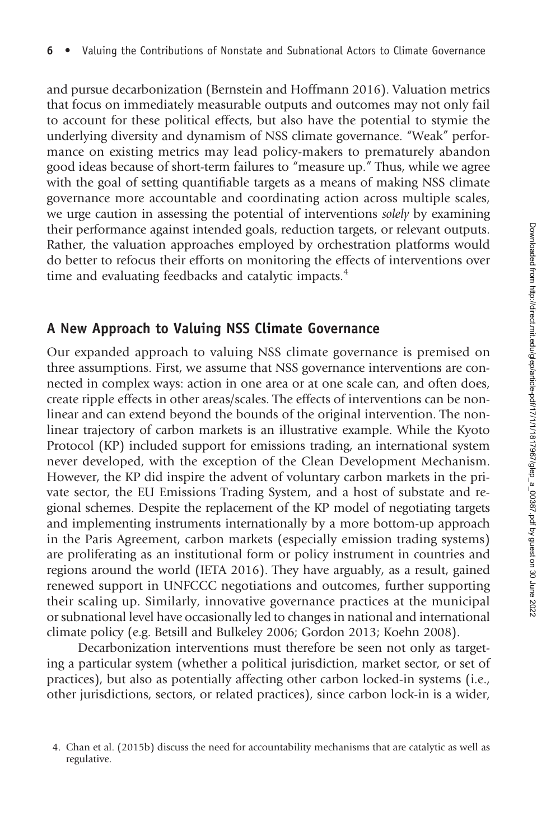and pursue decarbonization (Bernstein and Hoffmann 2016). Valuation metrics that focus on immediately measurable outputs and outcomes may not only fail to account for these political effects, but also have the potential to stymie the underlying diversity and dynamism of NSS climate governance. "Weak" performance on existing metrics may lead policy-makers to prematurely abandon good ideas because of short-term failures to "measure up." Thus, while we agree with the goal of setting quantifiable targets as a means of making NSS climate governance more accountable and coordinating action across multiple scales, we urge caution in assessing the potential of interventions *solely* by examining their performance against intended goals, reduction targets, or relevant outputs. Rather, the valuation approaches employed by orchestration platforms would do better to refocus their efforts on monitoring the effects of interventions over time and evaluating feedbacks and catalytic impacts.<sup>4</sup>

#### A New Approach to Valuing NSS Climate Governance

Our expanded approach to valuing NSS climate governance is premised on three assumptions. First, we assume that NSS governance interventions are connected in complex ways: action in one area or at one scale can, and often does, create ripple effects in other areas/scales. The effects of interventions can be nonlinear and can extend beyond the bounds of the original intervention. The nonlinear trajectory of carbon markets is an illustrative example. While the Kyoto Protocol (KP) included support for emissions trading, an international system never developed, with the exception of the Clean Development Mechanism. However, the KP did inspire the advent of voluntary carbon markets in the private sector, the EU Emissions Trading System, and a host of substate and regional schemes. Despite the replacement of the KP model of negotiating targets and implementing instruments internationally by a more bottom-up approach in the Paris Agreement, carbon markets (especially emission trading systems) are proliferating as an institutional form or policy instrument in countries and regions around the world (IETA 2016). They have arguably, as a result, gained renewed support in UNFCCC negotiations and outcomes, further supporting their scaling up. Similarly, innovative governance practices at the municipal or subnational level have occasionally led to changes in national and international climate policy (e.g. Betsill and Bulkeley 2006; Gordon 2013; Koehn 2008).

Decarbonization interventions must therefore be seen not only as targeting a particular system (whether a political jurisdiction, market sector, or set of practices), but also as potentially affecting other carbon locked-in systems (i.e., other jurisdictions, sectors, or related practices), since carbon lock-in is a wider,

<sup>4.</sup> Chan et al. (2015b) discuss the need for accountability mechanisms that are catalytic as well as regulative.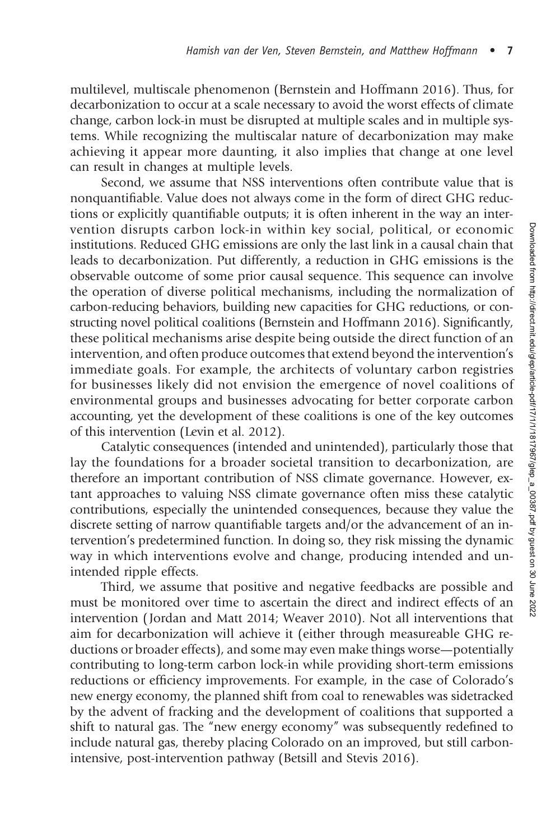multilevel, multiscale phenomenon (Bernstein and Hoffmann 2016). Thus, for decarbonization to occur at a scale necessary to avoid the worst effects of climate change, carbon lock-in must be disrupted at multiple scales and in multiple systems. While recognizing the multiscalar nature of decarbonization may make achieving it appear more daunting, it also implies that change at one level can result in changes at multiple levels.

Second, we assume that NSS interventions often contribute value that is nonquantifiable. Value does not always come in the form of direct GHG reductions or explicitly quantifiable outputs; it is often inherent in the way an intervention disrupts carbon lock-in within key social, political, or economic institutions. Reduced GHG emissions are only the last link in a causal chain that leads to decarbonization. Put differently, a reduction in GHG emissions is the observable outcome of some prior causal sequence. This sequence can involve the operation of diverse political mechanisms, including the normalization of carbon-reducing behaviors, building new capacities for GHG reductions, or constructing novel political coalitions (Bernstein and Hoffmann 2016). Significantly, these political mechanisms arise despite being outside the direct function of an intervention, and often produce outcomes that extend beyond the intervention's immediate goals. For example, the architects of voluntary carbon registries for businesses likely did not envision the emergence of novel coalitions of environmental groups and businesses advocating for better corporate carbon accounting, yet the development of these coalitions is one of the key outcomes of this intervention (Levin et al. 2012).

Catalytic consequences (intended and unintended), particularly those that lay the foundations for a broader societal transition to decarbonization, are therefore an important contribution of NSS climate governance. However, extant approaches to valuing NSS climate governance often miss these catalytic contributions, especially the unintended consequences, because they value the discrete setting of narrow quantifiable targets and/or the advancement of an intervention's predetermined function. In doing so, they risk missing the dynamic way in which interventions evolve and change, producing intended and unintended ripple effects.

Third, we assume that positive and negative feedbacks are possible and must be monitored over time to ascertain the direct and indirect effects of an intervention ( Jordan and Matt 2014; Weaver 2010). Not all interventions that aim for decarbonization will achieve it (either through measureable GHG reductions or broader effects), and some may even make things worse—potentially contributing to long-term carbon lock-in while providing short-term emissions reductions or efficiency improvements. For example, in the case of Colorado's new energy economy, the planned shift from coal to renewables was sidetracked by the advent of fracking and the development of coalitions that supported a shift to natural gas. The "new energy economy" was subsequently redefined to include natural gas, thereby placing Colorado on an improved, but still carbonintensive, post-intervention pathway (Betsill and Stevis 2016).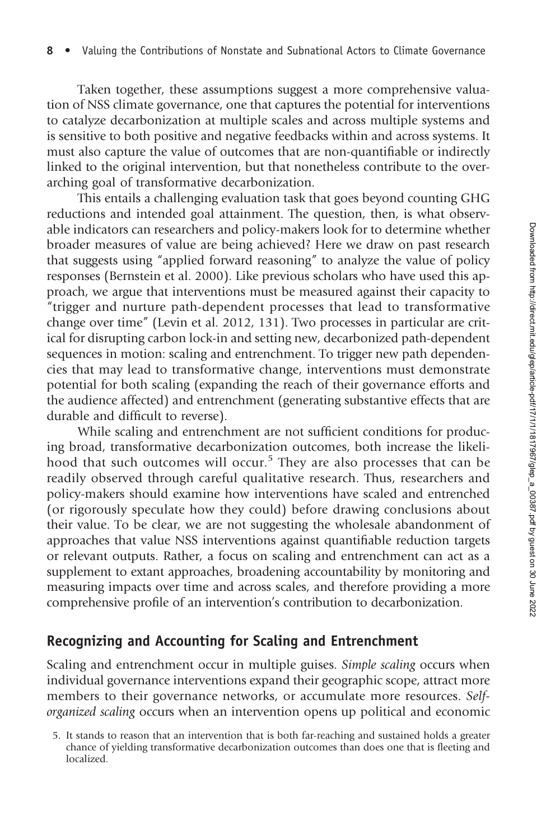Taken together, these assumptions suggest a more comprehensive valuation of NSS climate governance, one that captures the potential for interventions to catalyze decarbonization at multiple scales and across multiple systems and is sensitive to both positive and negative feedbacks within and across systems. It must also capture the value of outcomes that are non-quantifiable or indirectly linked to the original intervention, but that nonetheless contribute to the overarching goal of transformative decarbonization.

This entails a challenging evaluation task that goes beyond counting GHG reductions and intended goal attainment. The question, then, is what observable indicators can researchers and policy-makers look for to determine whether broader measures of value are being achieved? Here we draw on past research that suggests using "applied forward reasoning" to analyze the value of policy responses (Bernstein et al. 2000). Like previous scholars who have used this approach, we argue that interventions must be measured against their capacity to "trigger and nurture path-dependent processes that lead to transformative change over time" (Levin et al. 2012, 131). Two processes in particular are critical for disrupting carbon lock-in and setting new, decarbonized path-dependent sequences in motion: scaling and entrenchment. To trigger new path dependencies that may lead to transformative change, interventions must demonstrate potential for both scaling (expanding the reach of their governance efforts and the audience affected) and entrenchment (generating substantive effects that are durable and difficult to reverse).

While scaling and entrenchment are not sufficient conditions for producing broad, transformative decarbonization outcomes, both increase the likelihood that such outcomes will occur.<sup>5</sup> They are also processes that can be readily observed through careful qualitative research. Thus, researchers and policy-makers should examine how interventions have scaled and entrenched (or rigorously speculate how they could) before drawing conclusions about their value. To be clear, we are not suggesting the wholesale abandonment of approaches that value NSS interventions against quantifiable reduction targets or relevant outputs. Rather, a focus on scaling and entrenchment can act as a supplement to extant approaches, broadening accountability by monitoring and measuring impacts over time and across scales, and therefore providing a more comprehensive profile of an intervention's contribution to decarbonization.

#### Recognizing and Accounting for Scaling and Entrenchment

Scaling and entrenchment occur in multiple guises. Simple scaling occurs when individual governance interventions expand their geographic scope, attract more members to their governance networks, or accumulate more resources. Selforganized scaling occurs when an intervention opens up political and economic

<sup>5.</sup> It stands to reason that an intervention that is both far-reaching and sustained holds a greater chance of yielding transformative decarbonization outcomes than does one that is fleeting and localized.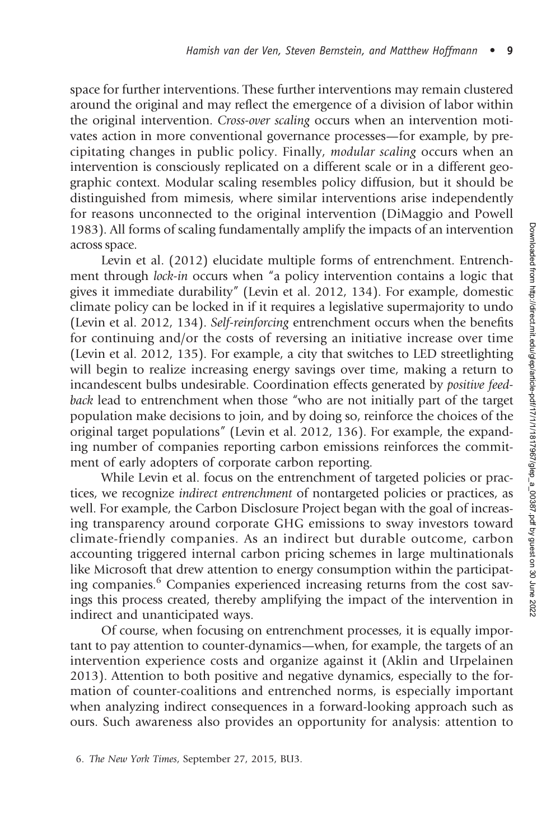space for further interventions. These further interventions may remain clustered around the original and may reflect the emergence of a division of labor within the original intervention. Cross-over scaling occurs when an intervention motivates action in more conventional governance processes—for example, by precipitating changes in public policy. Finally, modular scaling occurs when an intervention is consciously replicated on a different scale or in a different geographic context. Modular scaling resembles policy diffusion, but it should be distinguished from mimesis, where similar interventions arise independently for reasons unconnected to the original intervention (DiMaggio and Powell 1983). All forms of scaling fundamentally amplify the impacts of an intervention across space.

Levin et al. (2012) elucidate multiple forms of entrenchment. Entrenchment through *lock-in* occurs when "a policy intervention contains a logic that gives it immediate durability" (Levin et al. 2012, 134). For example, domestic climate policy can be locked in if it requires a legislative supermajority to undo (Levin et al. 2012, 134). Self-reinforcing entrenchment occurs when the benefits for continuing and/or the costs of reversing an initiative increase over time (Levin et al. 2012, 135). For example, a city that switches to LED streetlighting will begin to realize increasing energy savings over time, making a return to incandescent bulbs undesirable. Coordination effects generated by positive feedback lead to entrenchment when those "who are not initially part of the target population make decisions to join, and by doing so, reinforce the choices of the original target populations" (Levin et al. 2012, 136). For example, the expanding number of companies reporting carbon emissions reinforces the commitment of early adopters of corporate carbon reporting.

While Levin et al. focus on the entrenchment of targeted policies or practices, we recognize indirect entrenchment of nontargeted policies or practices, as well. For example, the Carbon Disclosure Project began with the goal of increasing transparency around corporate GHG emissions to sway investors toward climate-friendly companies. As an indirect but durable outcome, carbon accounting triggered internal carbon pricing schemes in large multinationals like Microsoft that drew attention to energy consumption within the participating companies.<sup>6</sup> Companies experienced increasing returns from the cost savings this process created, thereby amplifying the impact of the intervention in indirect and unanticipated ways.

Of course, when focusing on entrenchment processes, it is equally important to pay attention to counter-dynamics—when, for example, the targets of an intervention experience costs and organize against it (Aklin and Urpelainen 2013). Attention to both positive and negative dynamics, especially to the formation of counter-coalitions and entrenched norms, is especially important when analyzing indirect consequences in a forward-looking approach such as ours. Such awareness also provides an opportunity for analysis: attention to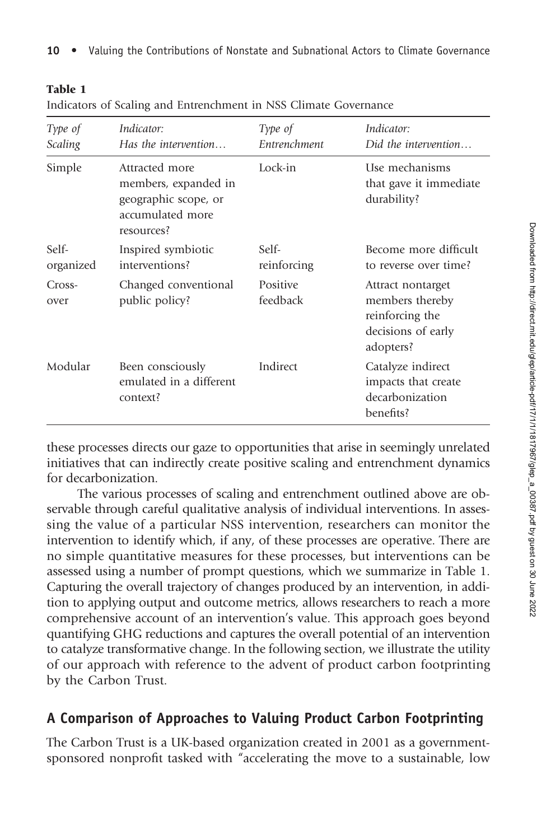| ۰,<br>.,<br>۰.<br>٠ |
|---------------------|
|---------------------|

|  | Indicators of Scaling and Entrenchment in NSS Climate Governance |  |  |  |  |  |  |
|--|------------------------------------------------------------------|--|--|--|--|--|--|
|--|------------------------------------------------------------------|--|--|--|--|--|--|

| Type of<br>Scaling | Indicator:<br>Has the intervention                                                               | Type of<br>Entrenchment | Indicator:<br>Did the intervention                                                         |
|--------------------|--------------------------------------------------------------------------------------------------|-------------------------|--------------------------------------------------------------------------------------------|
| Simple             | Attracted more<br>members, expanded in<br>geographic scope, or<br>accumulated more<br>resources? | Lock-in                 | Use mechanisms<br>that gave it immediate<br>durability?                                    |
| Self-<br>organized | Inspired symbiotic<br>interventions?                                                             | Self-<br>reinforcing    | Become more difficult<br>to reverse over time?                                             |
| Cross-<br>over     | Changed conventional<br>public policy?                                                           | Positive<br>feedback    | Attract nontarget<br>members thereby<br>reinforcing the<br>decisions of early<br>adopters? |
| Modular            | Been consciously<br>emulated in a different<br>context?                                          | Indirect                | Catalyze indirect<br>impacts that create<br>decarbonization<br>benefits?                   |

these processes directs our gaze to opportunities that arise in seemingly unrelated initiatives that can indirectly create positive scaling and entrenchment dynamics for decarbonization.

The various processes of scaling and entrenchment outlined above are observable through careful qualitative analysis of individual interventions. In assessing the value of a particular NSS intervention, researchers can monitor the intervention to identify which, if any, of these processes are operative. There are no simple quantitative measures for these processes, but interventions can be assessed using a number of prompt questions, which we summarize in Table 1. Capturing the overall trajectory of changes produced by an intervention, in addition to applying output and outcome metrics, allows researchers to reach a more comprehensive account of an intervention's value. This approach goes beyond quantifying GHG reductions and captures the overall potential of an intervention to catalyze transformative change. In the following section, we illustrate the utility of our approach with reference to the advent of product carbon footprinting by the Carbon Trust.

## A Comparison of Approaches to Valuing Product Carbon Footprinting

The Carbon Trust is a UK-based organization created in 2001 as a governmentsponsored nonprofit tasked with "accelerating the move to a sustainable, low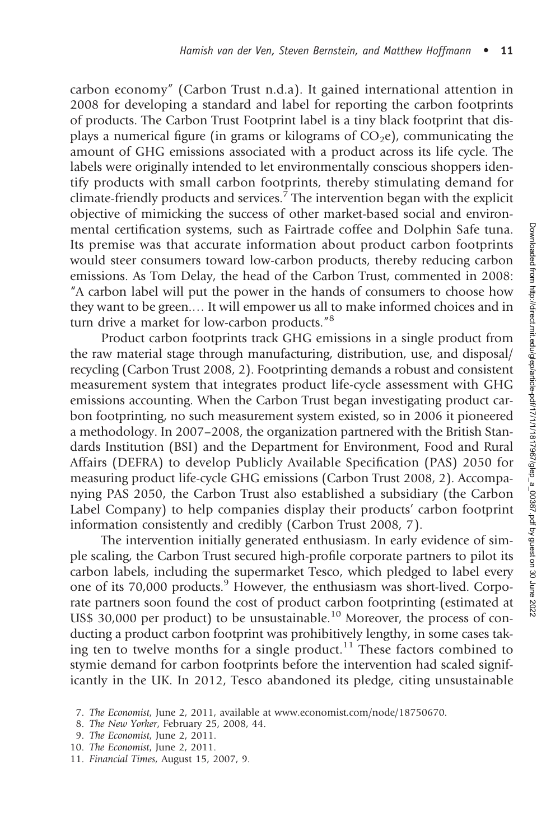carbon economy" (Carbon Trust n.d.a). It gained international attention in 2008 for developing a standard and label for reporting the carbon footprints of products. The Carbon Trust Footprint label is a tiny black footprint that displays a numerical figure (in grams or kilograms of  $CO<sub>2</sub>e$ ), communicating the amount of GHG emissions associated with a product across its life cycle. The labels were originally intended to let environmentally conscious shoppers identify products with small carbon footprints, thereby stimulating demand for climate-friendly products and services.<sup>7</sup> The intervention began with the explicit objective of mimicking the success of other market-based social and environmental certification systems, such as Fairtrade coffee and Dolphin Safe tuna. Its premise was that accurate information about product carbon footprints would steer consumers toward low-carbon products, thereby reducing carbon emissions. As Tom Delay, the head of the Carbon Trust, commented in 2008: "A carbon label will put the power in the hands of consumers to choose how they want to be green.… It will empower us all to make informed choices and in turn drive a market for low-carbon products."<sup>8</sup>

Product carbon footprints track GHG emissions in a single product from the raw material stage through manufacturing, distribution, use, and disposal/ recycling (Carbon Trust 2008, 2). Footprinting demands a robust and consistent measurement system that integrates product life-cycle assessment with GHG emissions accounting. When the Carbon Trust began investigating product carbon footprinting, no such measurement system existed, so in 2006 it pioneered a methodology. In 2007–2008, the organization partnered with the British Standards Institution (BSI) and the Department for Environment, Food and Rural Affairs (DEFRA) to develop Publicly Available Specification (PAS) 2050 for measuring product life-cycle GHG emissions (Carbon Trust 2008, 2). Accompanying PAS 2050, the Carbon Trust also established a subsidiary (the Carbon Label Company) to help companies display their products' carbon footprint information consistently and credibly (Carbon Trust 2008, 7).

The intervention initially generated enthusiasm. In early evidence of simple scaling, the Carbon Trust secured high-profile corporate partners to pilot its carbon labels, including the supermarket Tesco, which pledged to label every one of its 70,000 products.<sup>9</sup> However, the enthusiasm was short-lived. Corporate partners soon found the cost of product carbon footprinting (estimated at US\$ 30,000 per product) to be unsustainable.<sup>10</sup> Moreover, the process of conducting a product carbon footprint was prohibitively lengthy, in some cases taking ten to twelve months for a single product.<sup>11</sup> These factors combined to stymie demand for carbon footprints before the intervention had scaled significantly in the UK. In 2012, Tesco abandoned its pledge, citing unsustainable

- 8. The New Yorker, February 25, 2008, 44.
- 9. The Economist, June 2, 2011.
- 10. The Economist, June 2, 2011.
- 11. Financial Times, August 15, 2007, 9.

<sup>7.</sup> The Economist, June 2, 2011, available at www.economist.com/node/18750670.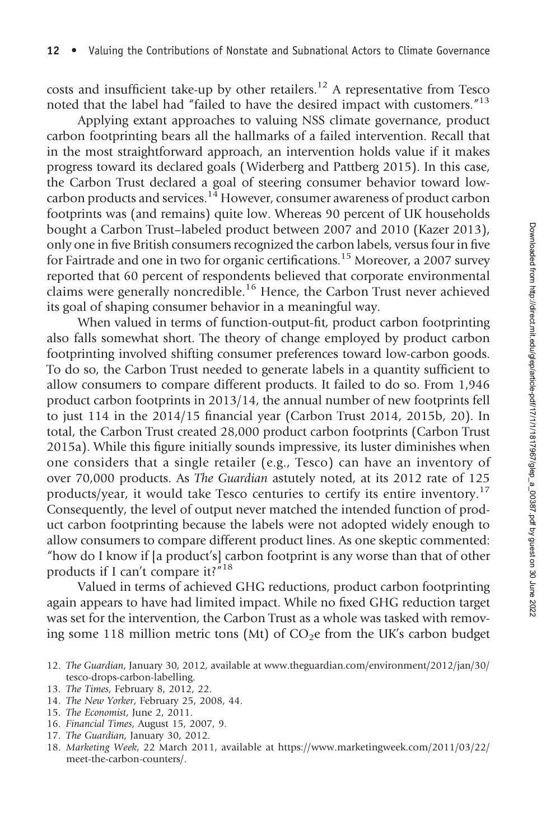costs and insufficient take-up by other retailers.<sup>12</sup> A representative from Tesco noted that the label had "failed to have the desired impact with customers." 13

Applying extant approaches to valuing NSS climate governance, product carbon footprinting bears all the hallmarks of a failed intervention. Recall that in the most straightforward approach, an intervention holds value if it makes progress toward its declared goals (Widerberg and Pattberg 2015). In this case, the Carbon Trust declared a goal of steering consumer behavior toward lowcarbon products and services.<sup>14</sup> However, consumer awareness of product carbon footprints was (and remains) quite low. Whereas 90 percent of UK households bought a Carbon Trust–labeled product between 2007 and 2010 (Kazer 2013), only one in five British consumers recognized the carbon labels, versus four in five for Fairtrade and one in two for organic certifications.<sup>15</sup> Moreover, a 2007 survey reported that 60 percent of respondents believed that corporate environmental claims were generally noncredible.<sup>16</sup> Hence, the Carbon Trust never achieved its goal of shaping consumer behavior in a meaningful way.

When valued in terms of function-output-fit, product carbon footprinting also falls somewhat short. The theory of change employed by product carbon footprinting involved shifting consumer preferences toward low-carbon goods. To do so, the Carbon Trust needed to generate labels in a quantity sufficient to allow consumers to compare different products. It failed to do so. From 1,946 product carbon footprints in 2013/14, the annual number of new footprints fell to just 114 in the 2014/15 financial year (Carbon Trust 2014, 2015b, 20). In total, the Carbon Trust created 28,000 product carbon footprints (Carbon Trust 2015a). While this figure initially sounds impressive, its luster diminishes when one considers that a single retailer (e.g., Tesco) can have an inventory of over 70,000 products. As The Guardian astutely noted, at its 2012 rate of 125 products/year, it would take Tesco centuries to certify its entire inventory.<sup>17</sup> Consequently, the level of output never matched the intended function of product carbon footprinting because the labels were not adopted widely enough to allow consumers to compare different product lines. As one skeptic commented: "how do I know if [a product's] carbon footprint is any worse than that of other products if I can't compare it?<sup>"18</sup>

Valued in terms of achieved GHG reductions, product carbon footprinting again appears to have had limited impact. While no fixed GHG reduction target was set for the intervention, the Carbon Trust as a whole was tasked with removing some 118 million metric tons (Mt) of  $CO<sub>2</sub>e$  from the UK's carbon budget

- 14. The New Yorker, February 25, 2008, 44.
- 15. The Economist, June 2, 2011.
- 16. Financial Times, August 15, 2007, 9.
- 17. The Guardian, January 30, 2012.
- 18. Marketing Week, 22 March 2011, available at https://www.marketingweek.com/2011/03/22/ meet-the-carbon-counters/.

<sup>12.</sup> The Guardian, January 30, 2012, available at www.theguardian.com/environment/2012/jan/30/ tesco-drops-carbon-labelling.

<sup>13.</sup> The Times, February 8, 2012, 22.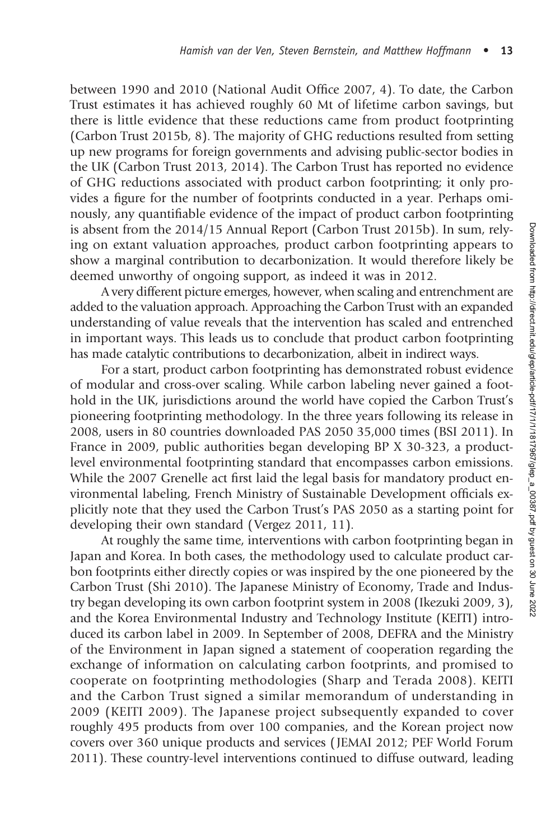between 1990 and 2010 (National Audit Office 2007, 4). To date, the Carbon Trust estimates it has achieved roughly 60 Mt of lifetime carbon savings, but there is little evidence that these reductions came from product footprinting (Carbon Trust 2015b, 8). The majority of GHG reductions resulted from setting up new programs for foreign governments and advising public-sector bodies in the UK (Carbon Trust 2013, 2014). The Carbon Trust has reported no evidence of GHG reductions associated with product carbon footprinting; it only provides a figure for the number of footprints conducted in a year. Perhaps ominously, any quantifiable evidence of the impact of product carbon footprinting is absent from the 2014/15 Annual Report (Carbon Trust 2015b). In sum, relying on extant valuation approaches, product carbon footprinting appears to show a marginal contribution to decarbonization. It would therefore likely be deemed unworthy of ongoing support, as indeed it was in 2012.

A very different picture emerges, however, when scaling and entrenchment are added to the valuation approach. Approaching the Carbon Trust with an expanded understanding of value reveals that the intervention has scaled and entrenched in important ways. This leads us to conclude that product carbon footprinting has made catalytic contributions to decarbonization, albeit in indirect ways.

For a start, product carbon footprinting has demonstrated robust evidence of modular and cross-over scaling. While carbon labeling never gained a foothold in the UK, jurisdictions around the world have copied the Carbon Trust's pioneering footprinting methodology. In the three years following its release in 2008, users in 80 countries downloaded PAS 2050 35,000 times (BSI 2011). In France in 2009, public authorities began developing BP X 30-323, a productlevel environmental footprinting standard that encompasses carbon emissions. While the 2007 Grenelle act first laid the legal basis for mandatory product environmental labeling, French Ministry of Sustainable Development officials explicitly note that they used the Carbon Trust's PAS 2050 as a starting point for developing their own standard (Vergez 2011, 11).

At roughly the same time, interventions with carbon footprinting began in Japan and Korea. In both cases, the methodology used to calculate product carbon footprints either directly copies or was inspired by the one pioneered by the Carbon Trust (Shi 2010). The Japanese Ministry of Economy, Trade and Industry began developing its own carbon footprint system in 2008 (Ikezuki 2009, 3), and the Korea Environmental Industry and Technology Institute (KEITI) introduced its carbon label in 2009. In September of 2008, DEFRA and the Ministry of the Environment in Japan signed a statement of cooperation regarding the exchange of information on calculating carbon footprints, and promised to cooperate on footprinting methodologies (Sharp and Terada 2008). KEITI and the Carbon Trust signed a similar memorandum of understanding in 2009 (KEITI 2009). The Japanese project subsequently expanded to cover roughly 495 products from over 100 companies, and the Korean project now covers over 360 unique products and services ( JEMAI 2012; PEF World Forum 2011). These country-level interventions continued to diffuse outward, leading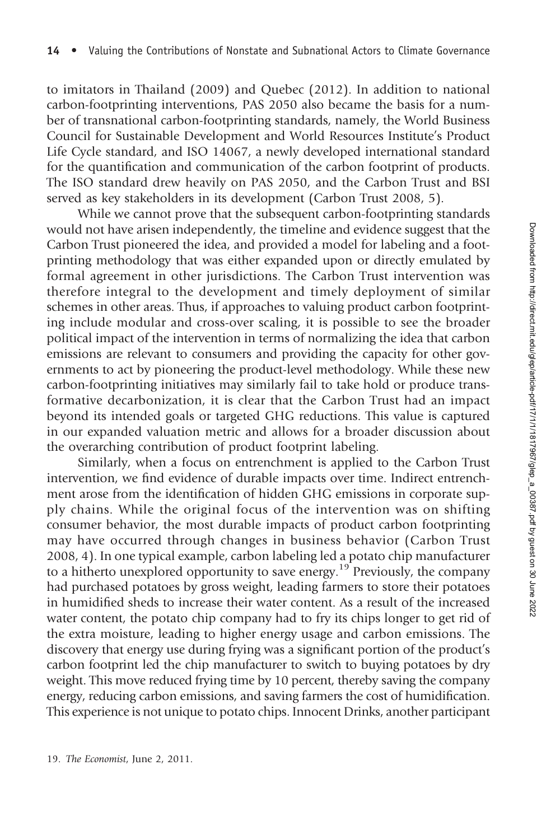to imitators in Thailand (2009) and Quebec (2012). In addition to national carbon-footprinting interventions, PAS 2050 also became the basis for a number of transnational carbon-footprinting standards, namely, the World Business Council for Sustainable Development and World Resources Institute's Product Life Cycle standard, and ISO 14067, a newly developed international standard for the quantification and communication of the carbon footprint of products. The ISO standard drew heavily on PAS 2050, and the Carbon Trust and BSI served as key stakeholders in its development (Carbon Trust 2008, 5).

While we cannot prove that the subsequent carbon-footprinting standards would not have arisen independently, the timeline and evidence suggest that the Carbon Trust pioneered the idea, and provided a model for labeling and a footprinting methodology that was either expanded upon or directly emulated by formal agreement in other jurisdictions. The Carbon Trust intervention was therefore integral to the development and timely deployment of similar schemes in other areas. Thus, if approaches to valuing product carbon footprinting include modular and cross-over scaling, it is possible to see the broader political impact of the intervention in terms of normalizing the idea that carbon emissions are relevant to consumers and providing the capacity for other governments to act by pioneering the product-level methodology. While these new carbon-footprinting initiatives may similarly fail to take hold or produce transformative decarbonization, it is clear that the Carbon Trust had an impact beyond its intended goals or targeted GHG reductions. This value is captured in our expanded valuation metric and allows for a broader discussion about the overarching contribution of product footprint labeling.

Similarly, when a focus on entrenchment is applied to the Carbon Trust intervention, we find evidence of durable impacts over time. Indirect entrenchment arose from the identification of hidden GHG emissions in corporate supply chains. While the original focus of the intervention was on shifting consumer behavior, the most durable impacts of product carbon footprinting may have occurred through changes in business behavior (Carbon Trust 2008, 4). In one typical example, carbon labeling led a potato chip manufacturer to a hitherto unexplored opportunity to save energy.<sup>19</sup> Previously, the company had purchased potatoes by gross weight, leading farmers to store their potatoes in humidified sheds to increase their water content. As a result of the increased water content, the potato chip company had to fry its chips longer to get rid of the extra moisture, leading to higher energy usage and carbon emissions. The discovery that energy use during frying was a significant portion of the product's carbon footprint led the chip manufacturer to switch to buying potatoes by dry weight. This move reduced frying time by 10 percent, thereby saving the company energy, reducing carbon emissions, and saving farmers the cost of humidification. This experience is not unique to potato chips. Innocent Drinks, another participant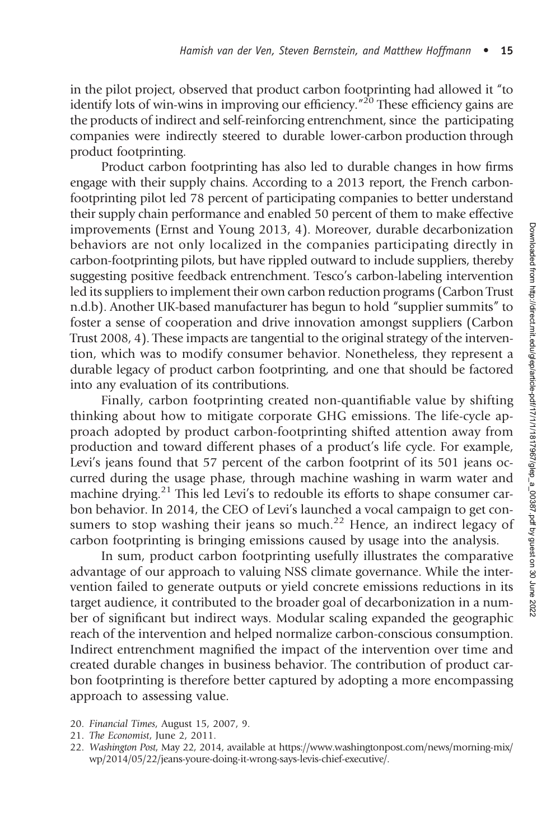in the pilot project, observed that product carbon footprinting had allowed it "to identify lots of win-wins in improving our efficiency.<sup>"20</sup> These efficiency gains are the products of indirect and self-reinforcing entrenchment, since the participating companies were indirectly steered to durable lower-carbon production through product footprinting.

Product carbon footprinting has also led to durable changes in how firms engage with their supply chains. According to a 2013 report, the French carbonfootprinting pilot led 78 percent of participating companies to better understand their supply chain performance and enabled 50 percent of them to make effective improvements (Ernst and Young 2013, 4). Moreover, durable decarbonization behaviors are not only localized in the companies participating directly in carbon-footprinting pilots, but have rippled outward to include suppliers, thereby suggesting positive feedback entrenchment. Tesco's carbon-labeling intervention led its suppliers to implement their own carbon reduction programs (Carbon Trust n.d.b). Another UK-based manufacturer has begun to hold "supplier summits" to foster a sense of cooperation and drive innovation amongst suppliers (Carbon Trust 2008, 4). These impacts are tangential to the original strategy of the intervention, which was to modify consumer behavior. Nonetheless, they represent a durable legacy of product carbon footprinting, and one that should be factored into any evaluation of its contributions.

Finally, carbon footprinting created non-quantifiable value by shifting thinking about how to mitigate corporate GHG emissions. The life-cycle approach adopted by product carbon-footprinting shifted attention away from production and toward different phases of a product's life cycle. For example, Levi's jeans found that 57 percent of the carbon footprint of its 501 jeans occurred during the usage phase, through machine washing in warm water and machine drying.<sup>21</sup> This led Levi's to redouble its efforts to shape consumer carbon behavior. In 2014, the CEO of Levi's launched a vocal campaign to get consumers to stop washing their jeans so much.<sup>22</sup> Hence, an indirect legacy of carbon footprinting is bringing emissions caused by usage into the analysis.

In sum, product carbon footprinting usefully illustrates the comparative advantage of our approach to valuing NSS climate governance. While the intervention failed to generate outputs or yield concrete emissions reductions in its target audience, it contributed to the broader goal of decarbonization in a number of significant but indirect ways. Modular scaling expanded the geographic reach of the intervention and helped normalize carbon-conscious consumption. Indirect entrenchment magnified the impact of the intervention over time and created durable changes in business behavior. The contribution of product carbon footprinting is therefore better captured by adopting a more encompassing approach to assessing value.

- 20. Financial Times, August 15, 2007, 9.
- 21. The Economist, June 2, 2011.
- 22. Washington Post, May 22, 2014, available at https://www.washingtonpost.com/news/morning-mix/ wp/2014/05/22/jeans-youre-doing-it-wrong-says-levis-chief-executive/.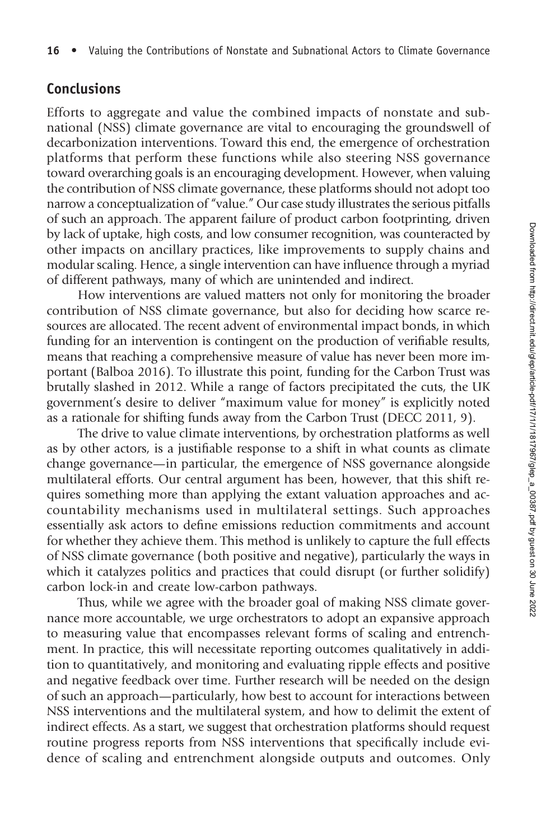#### Conclusions

Efforts to aggregate and value the combined impacts of nonstate and subnational (NSS) climate governance are vital to encouraging the groundswell of decarbonization interventions. Toward this end, the emergence of orchestration platforms that perform these functions while also steering NSS governance toward overarching goals is an encouraging development. However, when valuing the contribution of NSS climate governance, these platforms should not adopt too narrow a conceptualization of "value." Our case study illustrates the serious pitfalls of such an approach. The apparent failure of product carbon footprinting, driven by lack of uptake, high costs, and low consumer recognition, was counteracted by other impacts on ancillary practices, like improvements to supply chains and modular scaling. Hence, a single intervention can have influence through a myriad of different pathways, many of which are unintended and indirect.

How interventions are valued matters not only for monitoring the broader contribution of NSS climate governance, but also for deciding how scarce resources are allocated. The recent advent of environmental impact bonds, in which funding for an intervention is contingent on the production of verifiable results, means that reaching a comprehensive measure of value has never been more important (Balboa 2016). To illustrate this point, funding for the Carbon Trust was brutally slashed in 2012. While a range of factors precipitated the cuts, the UK government's desire to deliver "maximum value for money" is explicitly noted as a rationale for shifting funds away from the Carbon Trust (DECC 2011, 9).

The drive to value climate interventions, by orchestration platforms as well as by other actors, is a justifiable response to a shift in what counts as climate change governance—in particular, the emergence of NSS governance alongside multilateral efforts. Our central argument has been, however, that this shift requires something more than applying the extant valuation approaches and accountability mechanisms used in multilateral settings. Such approaches essentially ask actors to define emissions reduction commitments and account for whether they achieve them. This method is unlikely to capture the full effects of NSS climate governance (both positive and negative), particularly the ways in which it catalyzes politics and practices that could disrupt (or further solidify) carbon lock-in and create low-carbon pathways.

Thus, while we agree with the broader goal of making NSS climate governance more accountable, we urge orchestrators to adopt an expansive approach to measuring value that encompasses relevant forms of scaling and entrenchment. In practice, this will necessitate reporting outcomes qualitatively in addition to quantitatively, and monitoring and evaluating ripple effects and positive and negative feedback over time. Further research will be needed on the design of such an approach—particularly, how best to account for interactions between NSS interventions and the multilateral system, and how to delimit the extent of indirect effects. As a start, we suggest that orchestration platforms should request routine progress reports from NSS interventions that specifically include evidence of scaling and entrenchment alongside outputs and outcomes. Only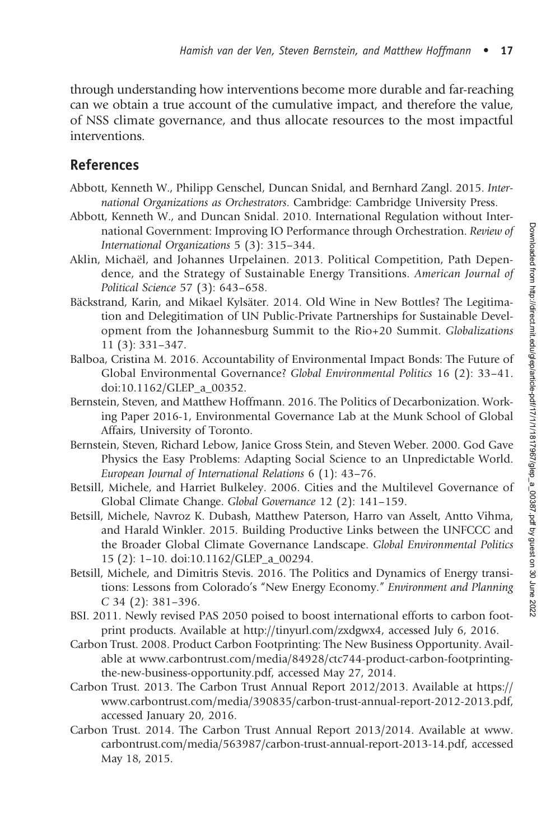through understanding how interventions become more durable and far-reaching can we obtain a true account of the cumulative impact, and therefore the value, of NSS climate governance, and thus allocate resources to the most impactful interventions.

# References

- Abbott, Kenneth W., Philipp Genschel, Duncan Snidal, and Bernhard Zangl. 2015. International Organizations as Orchestrators. Cambridge: Cambridge University Press.
- Abbott, Kenneth W., and Duncan Snidal. 2010. International Regulation without International Government: Improving IO Performance through Orchestration. Review of International Organizations 5 (3): 315–344.
- Aklin, Michaël, and Johannes Urpelainen. 2013. Political Competition, Path Dependence, and the Strategy of Sustainable Energy Transitions. American Journal of Political Science 57 (3): 643–658.
- Bäckstrand, Karin, and Mikael Kylsäter. 2014. Old Wine in New Bottles? The Legitimation and Delegitimation of UN Public-Private Partnerships for Sustainable Development from the Johannesburg Summit to the Rio+20 Summit. Globalizations 11 (3): 331–347.
- Balboa, Cristina M. 2016. Accountability of Environmental Impact Bonds: The Future of Global Environmental Governance? Global Environmental Politics 16 (2): 33–41. doi:10.1162/GLEP\_a\_00352.
- Bernstein, Steven, and Matthew Hoffmann. 2016. The Politics of Decarbonization. Working Paper 2016-1, Environmental Governance Lab at the Munk School of Global Affairs, University of Toronto.
- Bernstein, Steven, Richard Lebow, Janice Gross Stein, and Steven Weber. 2000. God Gave Physics the Easy Problems: Adapting Social Science to an Unpredictable World. European Journal of International Relations 6 (1): 43–76.
- Betsill, Michele, and Harriet Bulkeley. 2006. Cities and the Multilevel Governance of Global Climate Change. Global Governance 12 (2): 141–159.
- Betsill, Michele, Navroz K. Dubash, Matthew Paterson, Harro van Asselt, Antto Vihma, and Harald Winkler. 2015. Building Productive Links between the UNFCCC and the Broader Global Climate Governance Landscape. Global Environmental Politics 15 (2): 1–10. doi:10.1162/GLEP\_a\_00294.
- Betsill, Michele, and Dimitris Stevis. 2016. The Politics and Dynamics of Energy transitions: Lessons from Colorado's "New Energy Economy." Environment and Planning C 34 (2): 381–396.
- BSI. 2011. Newly revised PAS 2050 poised to boost international efforts to carbon footprint products. Available at http://tinyurl.com/zxdgwx4, accessed July 6, 2016.
- Carbon Trust. 2008. Product Carbon Footprinting: The New Business Opportunity. Available at www.carbontrust.com/media/84928/ctc744-product-carbon-footprintingthe-new-business-opportunity.pdf, accessed May 27, 2014.
- Carbon Trust. 2013. The Carbon Trust Annual Report 2012/2013. Available at https:// www.carbontrust.com/media/390835/carbon-trust-annual-report-2012-2013.pdf, accessed January 20, 2016.
- Carbon Trust. 2014. The Carbon Trust Annual Report 2013/2014. Available at www. carbontrust.com/media/563987/carbon-trust-annual-report-2013-14.pdf, accessed May 18, 2015.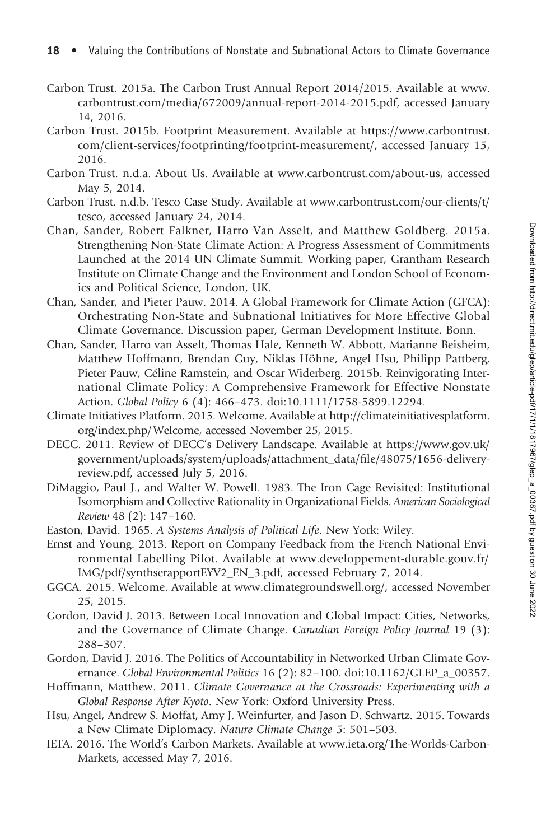- Carbon Trust. 2015a. The Carbon Trust Annual Report 2014/2015. Available at www. carbontrust.com/media/672009/annual-report-2014-2015.pdf, accessed January 14, 2016.
- Carbon Trust. 2015b. Footprint Measurement. Available at https://www.carbontrust. com/client-services/footprinting/footprint-measurement/, accessed January 15, 2016.
- Carbon Trust. n.d.a. About Us. Available at www.carbontrust.com/about-us, accessed May 5, 2014.
- Carbon Trust. n.d.b. Tesco Case Study. Available at www.carbontrust.com/our-clients/t/ tesco, accessed January 24, 2014.
- Chan, Sander, Robert Falkner, Harro Van Asselt, and Matthew Goldberg. 2015a. Strengthening Non-State Climate Action: A Progress Assessment of Commitments Launched at the 2014 UN Climate Summit. Working paper, Grantham Research Institute on Climate Change and the Environment and London School of Economics and Political Science, London, UK.
- Chan, Sander, and Pieter Pauw. 2014. A Global Framework for Climate Action (GFCA): Orchestrating Non-State and Subnational Initiatives for More Effective Global Climate Governance. Discussion paper, German Development Institute, Bonn.
- Chan, Sander, Harro van Asselt, Thomas Hale, Kenneth W. Abbott, Marianne Beisheim, Matthew Hoffmann, Brendan Guy, Niklas Höhne, Angel Hsu, Philipp Pattberg, Pieter Pauw, Céline Ramstein, and Oscar Widerberg. 2015b. Reinvigorating International Climate Policy: A Comprehensive Framework for Effective Nonstate Action. Global Policy 6 (4): 466–473. doi:10.1111/1758-5899.12294.
- Climate Initiatives Platform. 2015. Welcome. Available at http://climateinitiativesplatform. org/index.php/Welcome, accessed November 25, 2015.
- DECC. 2011. Review of DECC's Delivery Landscape. Available at https://www.gov.uk/ government/uploads/system/uploads/attachment\_data/file/48075/1656-deliveryreview.pdf, accessed July 5, 2016.
- DiMaggio, Paul J., and Walter W. Powell. 1983. The Iron Cage Revisited: Institutional Isomorphism and Collective Rationality in Organizational Fields. American Sociological Review 48 (2): 147–160.
- Easton, David. 1965. A Systems Analysis of Political Life. New York: Wiley.
- Ernst and Young. 2013. Report on Company Feedback from the French National Environmental Labelling Pilot. Available at www.developpement-durable.gouv.fr/ IMG/pdf/synthserapportEYV2\_EN\_3.pdf, accessed February 7, 2014.
- GGCA. 2015. Welcome. Available at www.climategroundswell.org/, accessed November 25, 2015.
- Gordon, David J. 2013. Between Local Innovation and Global Impact: Cities, Networks, and the Governance of Climate Change. Canadian Foreign Policy Journal 19 (3): 288–307.
- Gordon, David J. 2016. The Politics of Accountability in Networked Urban Climate Governance. Global Environmental Politics 16 (2): 82–100. doi:10.1162/GLEP\_a\_00357.
- Hoffmann, Matthew. 2011. Climate Governance at the Crossroads: Experimenting with a Global Response After Kyoto. New York: Oxford University Press.
- Hsu, Angel, Andrew S. Moffat, Amy J. Weinfurter, and Jason D. Schwartz. 2015. Towards a New Climate Diplomacy. Nature Climate Change 5: 501–503.
- IETA. 2016. The World's Carbon Markets. Available at www.ieta.org/The-Worlds-Carbon-Markets, accessed May 7, 2016.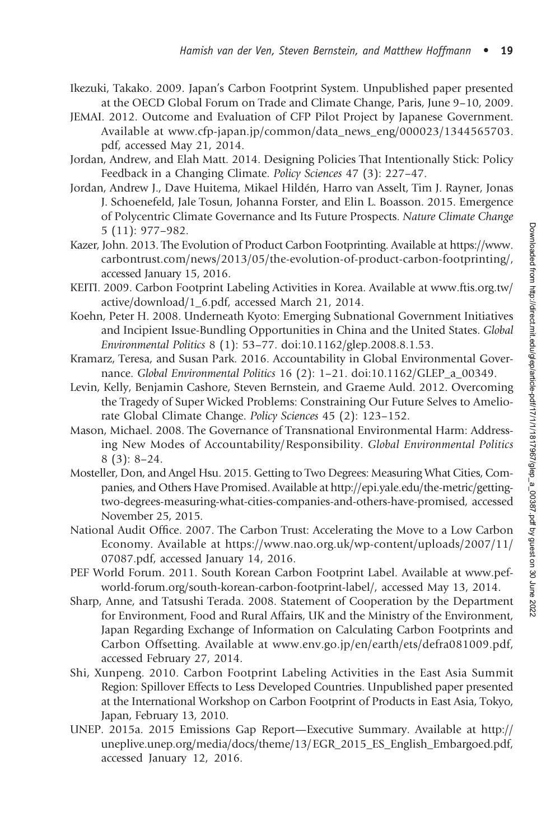- Ikezuki, Takako. 2009. Japan's Carbon Footprint System. Unpublished paper presented at the OECD Global Forum on Trade and Climate Change, Paris, June 9–10, 2009.
- JEMAI. 2012. Outcome and Evaluation of CFP Pilot Project by Japanese Government. Available at www.cfp-japan.jp/common/data\_news\_eng/000023/1344565703. pdf, accessed May 21, 2014.
- Jordan, Andrew, and Elah Matt. 2014. Designing Policies That Intentionally Stick: Policy Feedback in a Changing Climate. Policy Sciences 47 (3): 227–47.
- Jordan, Andrew J., Dave Huitema, Mikael Hildén, Harro van Asselt, Tim J. Rayner, Jonas J. Schoenefeld, Jale Tosun, Johanna Forster, and Elin L. Boasson. 2015. Emergence of Polycentric Climate Governance and Its Future Prospects. Nature Climate Change 5 (11): 977–982.
- Kazer, John. 2013. The Evolution of Product Carbon Footprinting. Available at https://www. carbontrust.com/news/2013/05/the-evolution-of-product-carbon-footprinting/, accessed January 15, 2016.
- KEITI. 2009. Carbon Footprint Labeling Activities in Korea. Available at www.ftis.org.tw/ active/download/1\_6.pdf, accessed March 21, 2014.
- Koehn, Peter H. 2008. Underneath Kyoto: Emerging Subnational Government Initiatives and Incipient Issue-Bundling Opportunities in China and the United States. Global Environmental Politics 8 (1): 53–77. doi:10.1162/glep.2008.8.1.53.
- Kramarz, Teresa, and Susan Park. 2016. Accountability in Global Environmental Governance. Global Environmental Politics 16 (2): 1-21. doi:10.1162/GLEP a 00349.
- Levin, Kelly, Benjamin Cashore, Steven Bernstein, and Graeme Auld. 2012. Overcoming the Tragedy of Super Wicked Problems: Constraining Our Future Selves to Ameliorate Global Climate Change. Policy Sciences 45 (2): 123–152.
- Mason, Michael. 2008. The Governance of Transnational Environmental Harm: Addressing New Modes of Accountability/Responsibility. Global Environmental Politics 8 (3): 8–24.
- Mosteller, Don, and Angel Hsu. 2015. Getting to Two Degrees: Measuring What Cities, Companies, and Others Have Promised. Available at http://epi.yale.edu/the-metric/gettingtwo-degrees-measuring-what-cities-companies-and-others-have-promised, accessed November 25, 2015.
- National Audit Office. 2007. The Carbon Trust: Accelerating the Move to a Low Carbon Economy. Available at https://www.nao.org.uk/wp-content/uploads/2007/11/ 07087.pdf, accessed January 14, 2016.
- PEF World Forum. 2011. South Korean Carbon Footprint Label. Available at www.pefworld-forum.org/south-korean-carbon-footprint-label/, accessed May 13, 2014.
- Sharp, Anne, and Tatsushi Terada. 2008. Statement of Cooperation by the Department for Environment, Food and Rural Affairs, UK and the Ministry of the Environment, Japan Regarding Exchange of Information on Calculating Carbon Footprints and Carbon Offsetting. Available at www.env.go.jp/en/earth/ets/defra081009.pdf, accessed February 27, 2014.
- Shi, Xunpeng. 2010. Carbon Footprint Labeling Activities in the East Asia Summit Region: Spillover Effects to Less Developed Countries. Unpublished paper presented at the International Workshop on Carbon Footprint of Products in East Asia, Tokyo, Japan, February 13, 2010.
- UNEP. 2015a. 2015 Emissions Gap Report—Executive Summary. Available at http:// uneplive.unep.org/media/docs/theme/13/EGR\_2015\_ES\_English\_Embargoed.pdf, accessed January 12, 2016.